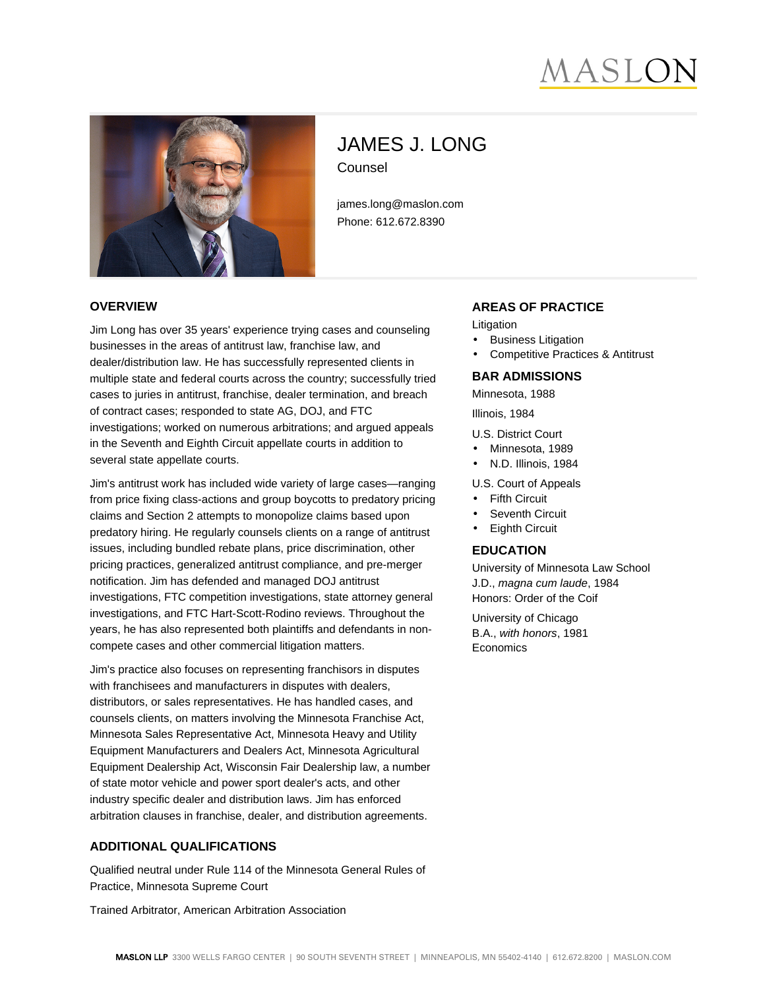# **ASLC**



# JAMES J. LONG Counsel

james.long@maslon.com Phone: 612.672.8390

#### **OVERVIEW**

Jim Long has over 35 years' experience trying cases and counseling businesses in the areas of antitrust law, franchise law, and dealer/distribution law. He has successfully represented clients in multiple state and federal courts across the country; successfully tried cases to juries in antitrust, franchise, dealer termination, and breach of contract cases; responded to state AG, DOJ, and FTC investigations; worked on numerous arbitrations; and argued appeals in the Seventh and Eighth Circuit appellate courts in addition to several state appellate courts.

Jim's antitrust work has included wide variety of large cases—ranging from price fixing class-actions and group boycotts to predatory pricing claims and Section 2 attempts to monopolize claims based upon predatory hiring. He regularly counsels clients on a range of antitrust issues, including bundled rebate plans, price discrimination, other pricing practices, generalized antitrust compliance, and pre-merger notification. Jim has defended and managed DOJ antitrust investigations, FTC competition investigations, state attorney general investigations, and FTC Hart-Scott-Rodino reviews. Throughout the years, he has also represented both plaintiffs and defendants in noncompete cases and other commercial litigation matters.

Jim's practice also focuses on representing franchisors in disputes with franchisees and manufacturers in disputes with dealers, distributors, or sales representatives. He has handled cases, and counsels clients, on matters involving the Minnesota Franchise Act, Minnesota Sales Representative Act, Minnesota Heavy and Utility Equipment Manufacturers and Dealers Act, Minnesota Agricultural Equipment Dealership Act, Wisconsin Fair Dealership law, a number of state motor vehicle and power sport dealer's acts, and other industry specific dealer and distribution laws. Jim has enforced arbitration clauses in franchise, dealer, and distribution agreements.

# **ADDITIONAL QUALIFICATIONS**

Qualified neutral under Rule 114 of the Minnesota General Rules of Practice, Minnesota Supreme Court

Trained Arbitrator, American Arbitration Association

#### **AREAS OF PRACTICE**

Litigation

- **Business Litigation**
- Competitive Practices & Antitrust

#### **BAR ADMISSIONS**

Minnesota, 1988

Illinois, 1984

U.S. District Court

- Minnesota, 1989
- N.D. Illinois, 1984

#### U.S. Court of Appeals

- Fifth Circuit
- Seventh Circuit
- **Eighth Circuit**

#### **EDUCATION**

University of Minnesota Law School J.D., magna cum laude, 1984 Honors: Order of the Coif

University of Chicago B.A., with honors, 1981 **Economics**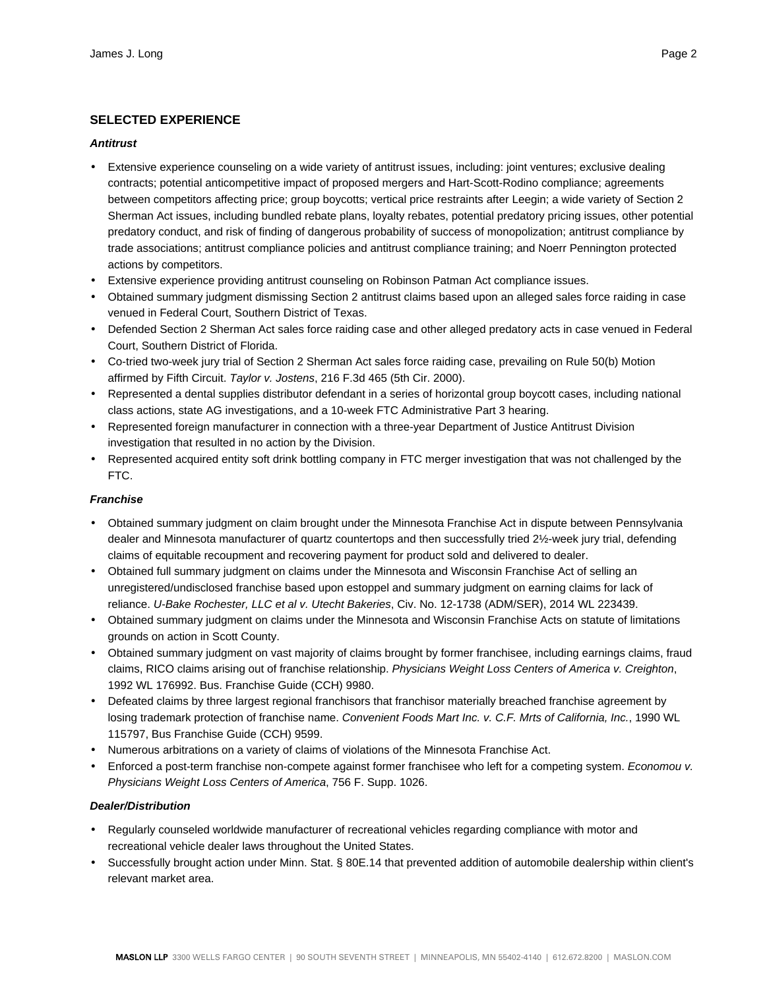# **SELECTED EXPERIENCE**

#### **Antitrust**

- Extensive experience counseling on a wide variety of antitrust issues, including: joint ventures; exclusive dealing contracts; potential anticompetitive impact of proposed mergers and Hart-Scott-Rodino compliance; agreements between competitors affecting price; group boycotts; vertical price restraints after Leegin; a wide variety of Section 2 Sherman Act issues, including bundled rebate plans, loyalty rebates, potential predatory pricing issues, other potential predatory conduct, and risk of finding of dangerous probability of success of monopolization; antitrust compliance by trade associations; antitrust compliance policies and antitrust compliance training; and Noerr Pennington protected actions by competitors.
- Extensive experience providing antitrust counseling on Robinson Patman Act compliance issues.
- Obtained summary judgment dismissing Section 2 antitrust claims based upon an alleged sales force raiding in case venued in Federal Court, Southern District of Texas.
- Defended Section 2 Sherman Act sales force raiding case and other alleged predatory acts in case venued in Federal Court, Southern District of Florida.
- Co-tried two-week jury trial of Section 2 Sherman Act sales force raiding case, prevailing on Rule 50(b) Motion affirmed by Fifth Circuit. Taylor v. Jostens, 216 F.3d 465 (5th Cir. 2000).
- Represented a dental supplies distributor defendant in a series of horizontal group boycott cases, including national class actions, state AG investigations, and a 10-week FTC Administrative Part 3 hearing.
- Represented foreign manufacturer in connection with a three-year Department of Justice Antitrust Division investigation that resulted in no action by the Division.
- Represented acquired entity soft drink bottling company in FTC merger investigation that was not challenged by the FTC.

#### **Franchise**

- Obtained summary judgment on claim brought under the Minnesota Franchise Act in dispute between Pennsylvania dealer and Minnesota manufacturer of quartz countertops and then successfully tried 2½-week jury trial, defending claims of equitable recoupment and recovering payment for product sold and delivered to dealer.
- Obtained full summary judgment on claims under the Minnesota and Wisconsin Franchise Act of selling an unregistered/undisclosed franchise based upon estoppel and summary judgment on earning claims for lack of reliance. U-Bake Rochester, LLC et al v. Utecht Bakeries, Civ. No. 12-1738 (ADM/SER), 2014 WL 223439.
- Obtained summary judgment on claims under the Minnesota and Wisconsin Franchise Acts on statute of limitations grounds on action in Scott County.
- Obtained summary judgment on vast majority of claims brought by former franchisee, including earnings claims, fraud claims, RICO claims arising out of franchise relationship. Physicians Weight Loss Centers of America v. Creighton, 1992 WL 176992. Bus. Franchise Guide (CCH) 9980.
- Defeated claims by three largest regional franchisors that franchisor materially breached franchise agreement by losing trademark protection of franchise name. Convenient Foods Mart Inc. v. C.F. Mrts of California, Inc., 1990 WL 115797, Bus Franchise Guide (CCH) 9599.
- Numerous arbitrations on a variety of claims of violations of the Minnesota Franchise Act.
- Enforced a post-term franchise non-compete against former franchisee who left for a competing system. Economou v. Physicians Weight Loss Centers of America, 756 F. Supp. 1026.

#### **Dealer/Distribution**

- Regularly counseled worldwide manufacturer of recreational vehicles regarding compliance with motor and recreational vehicle dealer laws throughout the United States.
- Successfully brought action under Minn. Stat. § 80E.14 that prevented addition of automobile dealership within client's relevant market area.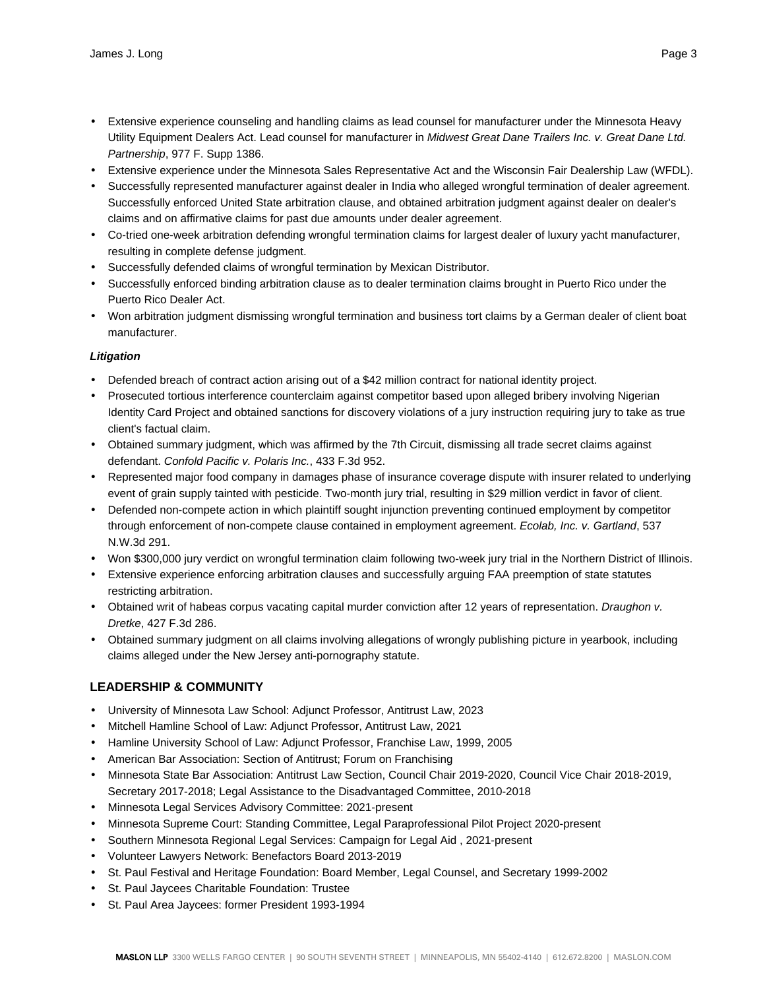- Extensive experience counseling and handling claims as lead counsel for manufacturer under the Minnesota Heavy Utility Equipment Dealers Act. Lead counsel for manufacturer in Midwest Great Dane Trailers Inc. v. Great Dane Ltd. Partnership, 977 F. Supp 1386.
- Extensive experience under the Minnesota Sales Representative Act and the Wisconsin Fair Dealership Law (WFDL).
- Successfully represented manufacturer against dealer in India who alleged wrongful termination of dealer agreement. Successfully enforced United State arbitration clause, and obtained arbitration judgment against dealer on dealer's claims and on affirmative claims for past due amounts under dealer agreement.
- Co-tried one-week arbitration defending wrongful termination claims for largest dealer of luxury yacht manufacturer, resulting in complete defense judgment.
- Successfully defended claims of wrongful termination by Mexican Distributor.
- Successfully enforced binding arbitration clause as to dealer termination claims brought in Puerto Rico under the Puerto Rico Dealer Act.
- Won arbitration judgment dismissing wrongful termination and business tort claims by a German dealer of client boat manufacturer.

#### **Litigation**

- Defended breach of contract action arising out of a \$42 million contract for national identity project.
- Prosecuted tortious interference counterclaim against competitor based upon alleged bribery involving Nigerian Identity Card Project and obtained sanctions for discovery violations of a jury instruction requiring jury to take as true client's factual claim.
- Obtained summary judgment, which was affirmed by the 7th Circuit, dismissing all trade secret claims against defendant. Confold Pacific v. Polaris Inc., 433 F.3d 952.
- Represented major food company in damages phase of insurance coverage dispute with insurer related to underlying event of grain supply tainted with pesticide. Two-month jury trial, resulting in \$29 million verdict in favor of client.
- Defended non-compete action in which plaintiff sought injunction preventing continued employment by competitor through enforcement of non-compete clause contained in employment agreement. Ecolab, Inc. v. Gartland, 537 N.W.3d 291.
- Won \$300,000 jury verdict on wrongful termination claim following two-week jury trial in the Northern District of Illinois.
- Extensive experience enforcing arbitration clauses and successfully arguing FAA preemption of state statutes restricting arbitration.
- Obtained writ of habeas corpus vacating capital murder conviction after 12 years of representation. Draughon v. Dretke, 427 F.3d 286.
- Obtained summary judgment on all claims involving allegations of wrongly publishing picture in yearbook, including claims alleged under the New Jersey anti-pornography statute.

# **LEADERSHIP & COMMUNITY**

- University of Minnesota Law School: Adjunct Professor, Antitrust Law, 2023
- Mitchell Hamline School of Law: Adjunct Professor, Antitrust Law, 2021
- Hamline University School of Law: Adjunct Professor, Franchise Law, 1999, 2005
- American Bar Association: Section of Antitrust; Forum on Franchising
- Minnesota State Bar Association: Antitrust Law Section, Council Chair 2019-2020, Council Vice Chair 2018-2019, Secretary 2017-2018; Legal Assistance to the Disadvantaged Committee, 2010-2018
- Minnesota Legal Services Advisory Committee: 2021-present
- Minnesota Supreme Court: Standing Committee, Legal Paraprofessional Pilot Project 2020-present
- Southern Minnesota Regional Legal Services: Campaign for Legal Aid , 2021-present
- Volunteer Lawyers Network: Benefactors Board 2013-2019
- St. Paul Festival and Heritage Foundation: Board Member, Legal Counsel, and Secretary 1999-2002
- St. Paul Jaycees Charitable Foundation: Trustee
- St. Paul Area Jaycees: former President 1993-1994